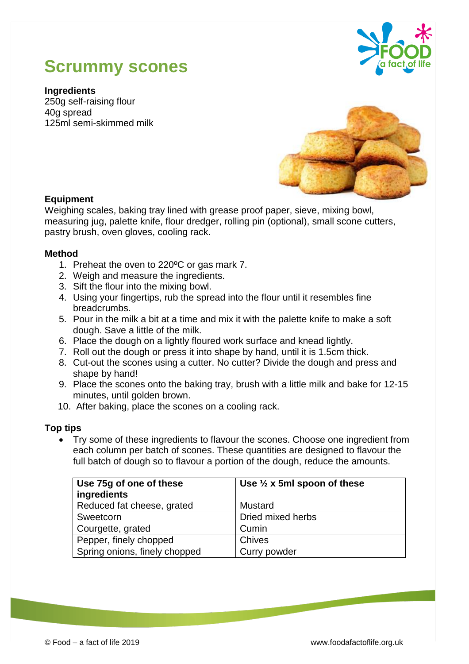# **Scrummy scones**



**Ingredients** 250g self-raising flour 40g spread 125ml semi-skimmed milk



## **Equipment**

Weighing scales, baking tray lined with grease proof paper, sieve, mixing bowl, measuring jug, palette knife, flour dredger, rolling pin (optional), small scone cutters, pastry brush, oven gloves, cooling rack.

#### **Method**

- 1. Preheat the oven to 220ºC or gas mark 7.
- 2. Weigh and measure the ingredients.
- 3. Sift the flour into the mixing bowl.
- 4. Using your fingertips, rub the spread into the flour until it resembles fine breadcrumbs.
- 5. Pour in the milk a bit at a time and mix it with the palette knife to make a soft dough. Save a little of the milk.
- 6. Place the dough on a lightly floured work surface and knead lightly.
- 7. Roll out the dough or press it into shape by hand, until it is 1.5cm thick.
- 8. Cut-out the scones using a cutter. No cutter? Divide the dough and press and shape by hand!
- 9. Place the scones onto the baking tray, brush with a little milk and bake for 12-15 minutes, until golden brown.
- 10. After baking, place the scones on a cooling rack.

## **Top tips**

 Try some of these ingredients to flavour the scones. Choose one ingredient from each column per batch of scones. These quantities are designed to flavour the full batch of dough so to flavour a portion of the dough, reduce the amounts.

| Use 75g of one of these       | Use $\frac{1}{2}$ x 5ml spoon of these |
|-------------------------------|----------------------------------------|
| ingredients                   |                                        |
| Reduced fat cheese, grated    | Mustard                                |
| Sweetcorn                     | Dried mixed herbs                      |
| Courgette, grated             | Cumin                                  |
| Pepper, finely chopped        | <b>Chives</b>                          |
| Spring onions, finely chopped | Curry powder                           |